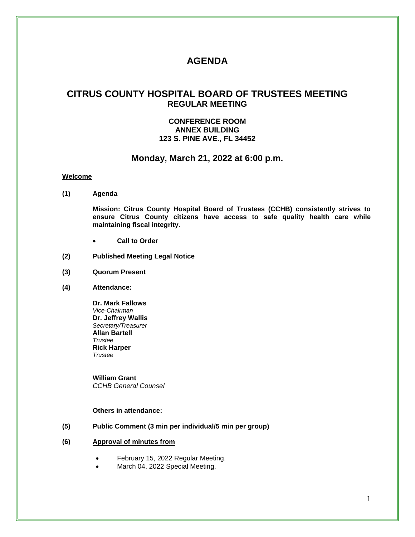# **AGENDA**

# **CITRUS COUNTY HOSPITAL BOARD OF TRUSTEES MEETING REGULAR MEETING**

### **CONFERENCE ROOM ANNEX BUILDING 123 S. PINE AVE., FL 34452**

#### **Monday, March 21, 2022 at 6:00 p.m.**

#### **Welcome**

**(1) Agenda**

**Mission: Citrus County Hospital Board of Trustees (CCHB) consistently strives to ensure Citrus County citizens have access to safe quality health care while maintaining fiscal integrity.**

- **Call to Order**
- **(2) Published Meeting Legal Notice**
- **(3) Quorum Present**
- **(4) Attendance:**

**Dr. Mark Fallows** *Vice-Chairman* **Dr. Jeffrey Wallis** *Secretary/Treasurer* **Allan Bartell** *Trustee* **Rick Harper** *Trustee*

**William Grant** *CCHB General Counsel*

#### **Others in attendance:**

- **(5) Public Comment (3 min per individual/5 min per group)**
- **(6) Approval of minutes from**
	- February 15, 2022 Regular Meeting.
	- March 04, 2022 Special Meeting.